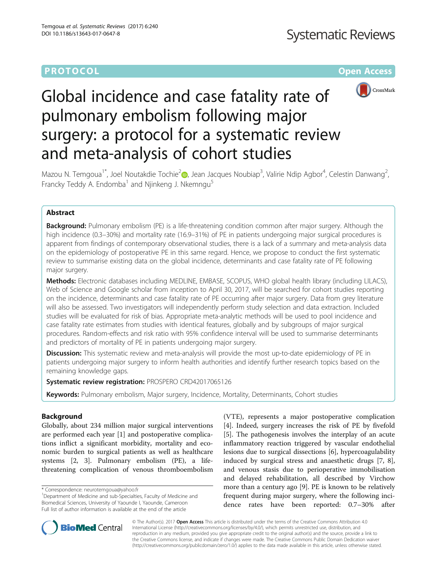# **PROTOCOL CONSUMING THE CONSUMING TEACHER CONSUMING THE CONSUMING TEACHER CONSUMING THE CONSUMING TEACHER CONSUMING**



# Global incidence and case fatality rate of pulmonary embolism following major surgery: a protocol for a systematic review and meta-analysis of cohort studies

Mazou N. Temgoua<sup>1\*</sup>, Joel Noutakdie Tochie<sup>[2](http://orcid.org/0000-0002-8338-2467)</sup> D, Jean Jacques Noubiap<sup>3</sup>, Valirie Ndip Agbor<sup>4</sup>, Celestin Danwang<sup>2</sup> .<br>, Francky Teddy A. Endomba<sup>1</sup> and Njinkeng J. Nkemngu<sup>5</sup>

# Abstract

Background: Pulmonary embolism (PE) is a life-threatening condition common after major surgery. Although the high incidence (0.3–30%) and mortality rate (16.9–31%) of PE in patients undergoing major surgical procedures is apparent from findings of contemporary observational studies, there is a lack of a summary and meta-analysis data on the epidemiology of postoperative PE in this same regard. Hence, we propose to conduct the first systematic review to summarise existing data on the global incidence, determinants and case fatality rate of PE following major surgery.

Methods: Electronic databases including MEDLINE, EMBASE, SCOPUS, WHO global health library (including LILACS), Web of Science and Google scholar from inception to April 30, 2017, will be searched for cohort studies reporting on the incidence, determinants and case fatality rate of PE occurring after major surgery. Data from grey literature will also be assessed. Two investigators will independently perform study selection and data extraction. Included studies will be evaluated for risk of bias. Appropriate meta-analytic methods will be used to pool incidence and case fatality rate estimates from studies with identical features, globally and by subgroups of major surgical procedures. Random-effects and risk ratio with 95% confidence interval will be used to summarise determinants and predictors of mortality of PE in patients undergoing major surgery.

**Discussion:** This systematic review and meta-analysis will provide the most up-to-date epidemiology of PE in patients undergoing major surgery to inform health authorities and identify further research topics based on the remaining knowledge gaps.

Systematic review registration: PROSPERO [CRD42017065126](http://www.crd.york.ac.uk/PROSPERO/display_record.php?ID=CRD42017065126)

Keywords: Pulmonary embolism, Major surgery, Incidence, Mortality, Determinants, Cohort studies

# Background

Globally, about 234 million major surgical interventions are performed each year [[1\]](#page-4-0) and postoperative complications inflict a significant morbidity, mortality and economic burden to surgical patients as well as healthcare systems [[2](#page-4-0), [3\]](#page-4-0). Pulmonary embolism (PE), a lifethreatening complication of venous thromboembolism

(VTE), represents a major postoperative complication [[4\]](#page-4-0). Indeed, surgery increases the risk of PE by fivefold [[5\]](#page-4-0). The pathogenesis involves the interplay of an acute inflammatory reaction triggered by vascular endothelial lesions due to surgical dissections [[6\]](#page-4-0), hypercoagulability induced by surgical stress and anaesthetic drugs [\[7, 8](#page-4-0)], and venous stasis due to perioperative immobilisation and delayed rehabilitation, all described by Virchow more than a century ago [\[9](#page-4-0)]. PE is known to be relatively frequent during major surgery, where the following incidence rates have been reported: 0.7–30% after



© The Author(s). 2017 **Open Access** This article is distributed under the terms of the Creative Commons Attribution 4.0 International License [\(http://creativecommons.org/licenses/by/4.0/](http://creativecommons.org/licenses/by/4.0/)), which permits unrestricted use, distribution, and reproduction in any medium, provided you give appropriate credit to the original author(s) and the source, provide a link to the Creative Commons license, and indicate if changes were made. The Creative Commons Public Domain Dedication waiver [\(http://creativecommons.org/publicdomain/zero/1.0/](http://creativecommons.org/publicdomain/zero/1.0/)) applies to the data made available in this article, unless otherwise stated.

<sup>\*</sup> Correspondence: [neurotemgoua@yahoo.fr](mailto:neurotemgoua@yahoo.fr) <sup>1</sup>

Department of Medicine and sub-Specialties, Faculty of Medicine and Biomedical Sciences, University of Yaounde I, Yaounde, Cameroon Full list of author information is available at the end of the article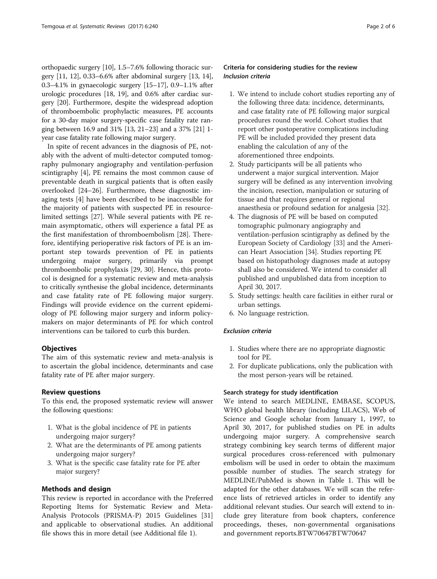orthopaedic surgery [[10](#page-4-0)], 1.5–7.6% following thoracic surgery [\[11, 12\]](#page-4-0), 0.33–6.6% after abdominal surgery [[13](#page-4-0), [14](#page-4-0)], 0.3–4.1% in gynaecologic surgery [[15](#page-4-0)–[17\]](#page-4-0), 0.9–1.1% after urologic procedures [[18](#page-4-0), [19](#page-4-0)], and 0.6% after cardiac surgery [[20](#page-4-0)]. Furthermore, despite the widespread adoption of thromboembolic prophylactic measures, PE accounts for a 30-day major surgery-specific case fatality rate ranging between 16.9 and 31% [[13](#page-4-0), [21](#page-4-0)–[23\]](#page-4-0) and a 37% [\[21](#page-4-0)] 1 year case fatality rate following major surgery.

In spite of recent advances in the diagnosis of PE, notably with the advent of multi-detector computed tomography pulmonary angiography and ventilation-perfusion scintigraphy [[4\]](#page-4-0), PE remains the most common cause of preventable death in surgical patients that is often easily overlooked [[24](#page-4-0)–[26](#page-4-0)]. Furthermore, these diagnostic imaging tests [\[4](#page-4-0)] have been described to be inaccessible for the majority of patients with suspected PE in resourcelimited settings [\[27\]](#page-4-0). While several patients with PE remain asymptomatic, others will experience a fatal PE as the first manifestation of thromboembolism [\[28](#page-4-0)]. Therefore, identifying perioperative risk factors of PE is an important step towards prevention of PE in patients undergoing major surgery, primarily via prompt thromboembolic prophylaxis [\[29](#page-4-0), [30](#page-4-0)]. Hence, this protocol is designed for a systematic review and meta-analysis to critically synthesise the global incidence, determinants and case fatality rate of PE following major surgery. Findings will provide evidence on the current epidemiology of PE following major surgery and inform policymakers on major determinants of PE for which control interventions can be tailored to curb this burden.

# **Objectives**

The aim of this systematic review and meta-analysis is to ascertain the global incidence, determinants and case fatality rate of PE after major surgery.

# Review questions

To this end, the proposed systematic review will answer the following questions:

- 1. What is the global incidence of PE in patients undergoing major surgery?
- 2. What are the determinants of PE among patients undergoing major surgery?
- 3. What is the specific case fatality rate for PE after major surgery?

#### Methods and design

This review is reported in accordance with the Preferred Reporting Items for Systematic Review and Meta-Analysis Protocols (PRISMA-P) 2015 Guidelines [[31](#page-4-0)] and applicable to observational studies. An additional file shows this in more detail (see Additional file [1](#page-3-0)).

# Criteria for considering studies for the review Inclusion criteria

- 1. We intend to include cohort studies reporting any of the following three data: incidence, determinants, and case fatality rate of PE following major surgical procedures round the world. Cohort studies that report other postoperative complications including PE will be included provided they present data enabling the calculation of any of the aforementioned three endpoints.
- 2. Study participants will be all patients who underwent a major surgical intervention. Major surgery will be defined as any intervention involving the incision, resection, manipulation or suturing of tissue and that requires general or regional anaesthesia or profound sedation for analgesia [[32](#page-4-0)].
- 4. The diagnosis of PE will be based on computed tomographic pulmonary angiography and ventilation-perfusion scintigraphy as defined by the European Society of Cardiology [[33](#page-4-0)] and the American Heart Association [[34](#page-5-0)]. Studies reporting PE based on histopathology diagnoses made at autopsy shall also be considered. We intend to consider all published and unpublished data from inception to April 30, 2017.
- 5. Study settings: health care facilities in either rural or urban settings.
- 6. No language restriction.

# Exclusion criteria

- 1. Studies where there are no appropriate diagnostic tool for PE.
- 2. For duplicate publications, only the publication with the most person-years will be retained.

## Search strategy for study identification

We intend to search MEDLINE, EMBASE, SCOPUS, WHO global health library (including LILACS), Web of Science and Google scholar from January 1, 1997, to April 30, 2017, for published studies on PE in adults undergoing major surgery. A comprehensive search strategy combining key search terms of different major surgical procedures cross-referenced with pulmonary embolism will be used in order to obtain the maximum possible number of studies. The search strategy for MEDLINE/PubMed is shown in Table [1](#page-2-0). This will be adapted for the other databases. We will scan the reference lists of retrieved articles in order to identify any additional relevant studies. Our search will extend to include grey literature from book chapters, conference proceedings, theses, non-governmental organisations and government reports.BTW70647BTW70647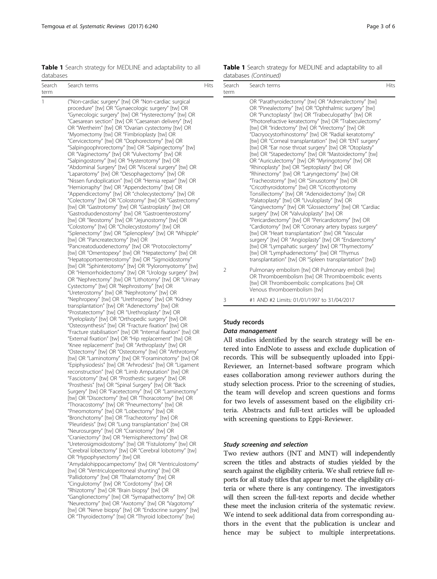<span id="page-2-0"></span>Table 1 Search strategy for MEDLINE and adaptability to all databases

| Search<br>term | Search terms                                                                                                                                                                                                                                                                                                                                                                                                                                                                                                                                                                                                                                                                                                                                                                                                                                                                                                                                                                                                                                                                                                                                                                                                                                                                                                                                                                                                                                                                                                                                                                                                                                                                                                                                                                                                                                                                                                                                                                                                                                                                                                                                                                                                                                                                                                                                                                                                                                                                                                                                                                                                                                                                                                                                                                                                                                                                                                                                                                                                                                                                                                                                                                                                                                                                                                                                                                                                                | <b>Hits</b> |
|----------------|-----------------------------------------------------------------------------------------------------------------------------------------------------------------------------------------------------------------------------------------------------------------------------------------------------------------------------------------------------------------------------------------------------------------------------------------------------------------------------------------------------------------------------------------------------------------------------------------------------------------------------------------------------------------------------------------------------------------------------------------------------------------------------------------------------------------------------------------------------------------------------------------------------------------------------------------------------------------------------------------------------------------------------------------------------------------------------------------------------------------------------------------------------------------------------------------------------------------------------------------------------------------------------------------------------------------------------------------------------------------------------------------------------------------------------------------------------------------------------------------------------------------------------------------------------------------------------------------------------------------------------------------------------------------------------------------------------------------------------------------------------------------------------------------------------------------------------------------------------------------------------------------------------------------------------------------------------------------------------------------------------------------------------------------------------------------------------------------------------------------------------------------------------------------------------------------------------------------------------------------------------------------------------------------------------------------------------------------------------------------------------------------------------------------------------------------------------------------------------------------------------------------------------------------------------------------------------------------------------------------------------------------------------------------------------------------------------------------------------------------------------------------------------------------------------------------------------------------------------------------------------------------------------------------------------------------------------------------------------------------------------------------------------------------------------------------------------------------------------------------------------------------------------------------------------------------------------------------------------------------------------------------------------------------------------------------------------------------------------------------------------------------------------------------------------|-------------|
| 1              | ("Non-cardiac surgery" [tw] OR "Non-cardiac surgical<br>procedure" [tw] OR "Gynaecologic surgery" [tw] OR<br>"Gynecologic surgery" [tw] OR "Hysterectomy" [tw] OR<br>"Caesarean section" [tw] OR "Caesarean delivery" [tw]<br>OR "Wertheim" [tw] OR "Ovarian cystectomy [tw] OR<br>"Myomectomy [tw] OR "Fimbrioplasty [tw] OR<br>"Cervicectomy" [tw] OR "Oophorectomy" [tw] OR<br>"Salpingoophrorectomy" [tw] OR "Salpingectomy" [tw]<br>OR "Vaginectomy" [tw] OR "Vulvectomy" [tw] OR<br>"Salpingostomy" [tw] OR "Hysterotomy" [tw] OR<br>"Abdominal Surgery" [tw] OR "Visceral surgery" [tw] OR<br>"Laparotomy" [tw] OR "Oesophagectomy" [tw] OR<br>"Nissen fundoplication" [tw] OR "Hernia repair" [tw] OR<br>"Herniorraphy" [tw] OR "Appendectomy" [tw] OR<br>"Appendicectomy" [tw] OR "cholecystectomy" [tw] OR<br>"Colectomy" [tw] OR "Colostomy" [tw] OR "Gastrectomy"<br>[tw] OR "Gastrotomy" [tw] OR "Gastroplasty" [tw] OR<br>"Gastroduodenostomy" [tw] OR "Gastroenterostomy"<br>[tw] OR "Ileostomy" [tw] OR "Jejunostomy" [tw] OR<br>"Colostomy" [tw] OR "Cholecystostomy" [tw] OR<br>"Splenectomy" [tw] OR "Splenoplexy" [tw] OR "Whipple"<br>[tw] OR "Pancreatectomy" [tw] OR<br>"Pancreatoduodenectomy" [tw] OR "Protocolectomy"<br>[tw] OR "Omentopexy" [tw] OR "Hepatectomy" [tw] OR<br>"Hepatoportoenterostomy" [tw] OR "Sigmoidostomy"<br>[tw] OR "Sphinterotomy" [tw] OR "Pyloromyotomy" [tw]<br>OR "Hemorrhoidectomy" [tw] OR "Urology surgery" [tw]<br>OR "Nephrectomy" [tw] OR "Lithotomy" [tw] OR "Urinary<br>Cystectomy" [tw] OR "Nephrostomy" [tw] OR<br>"Ureterostomy" [tw] OR "Nephrotomy" [tw] OR<br>"Nephropexy" [tw] OR "Urethropexy" [tw] OR "Kidney<br>transplantation" [tw] OR "Adenectomy" [tw] OR<br>"Prostatectomy" [tw] OR "Urethroplasty" [tw] OR<br>"Pyeloplasty" [tw] OR "Orthopedic surgery" [tw] OR<br>"Osteosynthesis" [tw] OR "Fracture fixation" [tw] OR<br>"Fracture stabilisation" [tw] OR "Internal fixation" [tw] OR<br>"External fixation" [tw] OR "Hip replacement" [tw] OR<br>"Knee replacement" [tw] OR "Arthroplasty" [tw] OR<br>"Ostectomy" [tw] OR "Osteotomy" [tw] OR "Arthrotomy"<br>[tw] OR "Laminotomy" [tw] OR "Foraminotomy" [tw] OR<br>"Epiphysiodesis" [tw] OR "Arhrodesis" [tw] OR "Ligament<br>reconstruction" [tw] OR "Limb Amputation" [tw] OR<br>"Fasciotomy" [tw] OR "Prosthestic surgery" [tw] OR<br>"Prosthesis" [tw] OR "Spinal Surgery" [tw] OR "Back<br>Surgery" [tw] OR "Facetectomy" [tw] OR "Laminectomy"<br>[tw] OR "Discectomy" [tw] OR "Thoracotomy" [tw] OR<br>"Thoracostomy" [tw] OR "Pneumectomy" [tw] OR<br>"Pneomotomy" [tw] OR "Lobectomy" [tw] OR<br>"Bronchotomy" [tw] OR "Tracheotomy" [tw] OR<br>"Pleuridesis" [tw] OR "Lung transplantation" [tw] OR<br>"Neurosurgery" [tw] OR "Craniotomy" [tw] OR<br>"Craniectomy" [tw] OR "Hemispherectomy" [tw] OR<br>"Ureterosigmoidostomy" [tw] OR "Fistulotomy" [tw] OR<br>"Cerebral lobectomy" [tw] OR "Cerebral lobotomy" [tw]<br>OR "Hypophysectomy" [tw] OR<br>"Amydalohippocampectomy" [tw] OR "Ventriculostomy"<br>[tw] OR "Ventriculoperitoneal shunting" [tw] OR<br>"Pallidotomy" [tw] OR "Thalamotomy" [tw] OR<br>"Cingulotomy" [tw] OR "Cordotomy" [tw] OR<br>"Rhizotomy" [tw] OR "Brain biopsy" [tw] OR<br>"Ganglionectomy" [tw] OR "Symapathectomy" [tw] OR<br>"Neurectomy" [tw] OR "Axotomy" [tw] OR "Vagotomy"<br>[tw] OR "Nerve biopsy" [tw] OR "Endocrine surgery" [tw] |             |
|                | OR "Thyroidectomy" [tw] OR "Thyroid lobectomy" [tw]                                                                                                                                                                                                                                                                                                                                                                                                                                                                                                                                                                                                                                                                                                                                                                                                                                                                                                                                                                                                                                                                                                                                                                                                                                                                                                                                                                                                                                                                                                                                                                                                                                                                                                                                                                                                                                                                                                                                                                                                                                                                                                                                                                                                                                                                                                                                                                                                                                                                                                                                                                                                                                                                                                                                                                                                                                                                                                                                                                                                                                                                                                                                                                                                                                                                                                                                                                         |             |

|                       |  |  | <b>Table 1</b> Search strategy for MEDLINE and adaptability to all |  |
|-----------------------|--|--|--------------------------------------------------------------------|--|
| databases (Continued) |  |  |                                                                    |  |

| Search<br>term | Search terms                                                                                                                                                                                                                                                                                                                                                                                                                                                                                                                                                                                                                                                                                                                                                                                                                                                                                                                                                                                                                                                                                                                                                                                                                                                                                                                                                     | Hits |
|----------------|------------------------------------------------------------------------------------------------------------------------------------------------------------------------------------------------------------------------------------------------------------------------------------------------------------------------------------------------------------------------------------------------------------------------------------------------------------------------------------------------------------------------------------------------------------------------------------------------------------------------------------------------------------------------------------------------------------------------------------------------------------------------------------------------------------------------------------------------------------------------------------------------------------------------------------------------------------------------------------------------------------------------------------------------------------------------------------------------------------------------------------------------------------------------------------------------------------------------------------------------------------------------------------------------------------------------------------------------------------------|------|
|                | OR "Parathyroidectomy" [tw] OR "Adrenalectomy" [tw]<br>OR "Pinealectomy" [tw] OR "Ophthalmic surgery" [tw]<br>OR "Punctoplasty" [tw] OR "Trabeculopathy" [tw] OR<br>"Photorefractive keratectomy" [tw] OR "Trabeculectomy"<br>[tw] OR "Iridectomy" [tw] OR "Virectomy" [tw] OR<br>"Dacryocystorhinostomy" [tw] OR "Radial keratotomy"<br>[tw] OR "Corneal transplantation" [tw] OR "ENT surgery"<br>[tw] OR "Ear nose throat surgery" [tw] OR "Otoplasty"<br>[tw] OR "Stapedectomy" [tw] OR "Mastoidectomy" [tw]<br>OR "Auriculectomy" [tw] OR "Myringotomy" [tw] OR<br>"Rhinoplasty" [tw] OR "Septoplasty" [tw] OR<br>"Rhinectomy" [tw] OR "Laryngectomy" [tw] OR<br>"Tracheostomy" [tw] OR "Sinusotomy" [tw] OR<br>"Cricothyroidotomy" [tw] OR "Cricothyrotomy<br>Tonsillectomy" [tw] OR "Adenoidectomy" [tw] OR<br>"Palatoplasty" [tw] OR "Uvuloplasty" [tw] OR<br>"Gingivectomy" [tw] OR "Glossectomy" [tw] OR "Cardiac<br>surgery" [tw] OR "Valvuloplasty" [tw] OR<br>"Pericardiectomy" [tw] OR "Pericardiotomy" [tw] OR<br>"Cardiotomy" [tw] OR "Coronary artery bypass surgery"<br>[tw] OR "Heart transplantation" [tw] OR "Vascular<br>surgery" [tw] OR "Angioplasty" [tw] OR "Endarectomy"<br>[tw] OR "Lympahatic surgery" [tw] OR "Thymectomy"<br>[tw] OR "Lymphadenectomy" [tw] OR "Thymus<br>transplantation" [tw] OR "Spleen transplantation" [tw]) |      |
| $\overline{2}$ | Pulmonary embolism [tw] OR Pulmonary emboli [tw]<br>OR Thromboembolism [tw] OR Thromboembolic events<br>[tw] OR Thromboembolic complications [tw] OR<br>Venous thromboembolism [tw]                                                                                                                                                                                                                                                                                                                                                                                                                                                                                                                                                                                                                                                                                                                                                                                                                                                                                                                                                                                                                                                                                                                                                                              |      |
| 3              | #1 AND #2 Limits: 01/01/1997 to 31/04/2017                                                                                                                                                                                                                                                                                                                                                                                                                                                                                                                                                                                                                                                                                                                                                                                                                                                                                                                                                                                                                                                                                                                                                                                                                                                                                                                       |      |

# Study records

# Data management

All studies identified by the search strategy will be entered into EndNote to assess and exclude duplication of records. This will be subsequently uploaded into Eppi-Reviewer, an Internet-based software program which eases collaboration among reviewer authors during the study selection process. Prior to the screening of studies, the team will develop and screen questions and forms for two levels of assessment based on the eligibility criteria. Abstracts and full-text articles will be uploaded with screening questions to Eppi-Reviewer.

# Study screening and selection

Two review authors (JNT and MNT) will independently screen the titles and abstracts of studies yielded by the search against the eligibility criteria. We shall retrieve full reports for all study titles that appear to meet the eligibility criteria or where there is any contingency. The investigators will then screen the full-text reports and decide whether these meet the inclusion criteria of the systematic review. We intend to seek additional data from corresponding authors in the event that the publication is unclear and hence may be subject to multiple interpretations.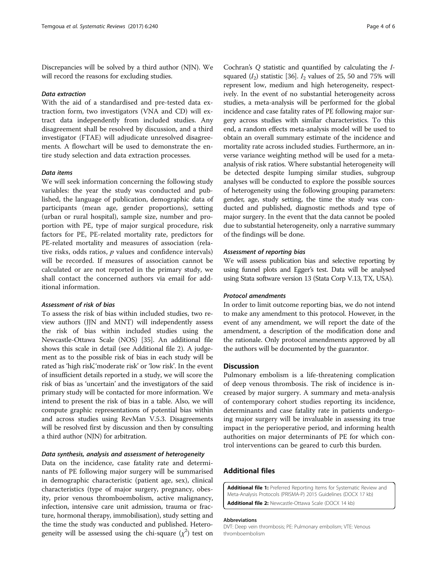<span id="page-3-0"></span>Discrepancies will be solved by a third author (NJN). We will record the reasons for excluding studies.

#### Data extraction

With the aid of a standardised and pre-tested data extraction form, two investigators (VNA and CD) will extract data independently from included studies. Any disagreement shall be resolved by discussion, and a third investigator (FTAE) will adjudicate unresolved disagreements. A flowchart will be used to demonstrate the entire study selection and data extraction processes.

#### Data items

We will seek information concerning the following study variables: the year the study was conducted and published, the language of publication, demographic data of participants (mean age, gender proportions), setting (urban or rural hospital), sample size, number and proportion with PE, type of major surgical procedure, risk factors for PE, PE-related mortality rate, predictors for PE-related mortality and measures of association (relative risks, odds ratios, p values and confidence intervals) will be recorded. If measures of association cannot be calculated or are not reported in the primary study, we shall contact the concerned authors via email for additional information.

#### Assessment of risk of bias

To assess the risk of bias within included studies, two review authors (JJN and MNT) will independently assess the risk of bias within included studies using the Newcastle-Ottawa Scale (NOS) [[35](#page-5-0)]. An additional file shows this scale in detail (see Additional file 2). A judgement as to the possible risk of bias in each study will be rated as 'high risk', 'moderate risk' or 'low risk'. In the event of insufficient details reported in a study, we will score the risk of bias as 'uncertain' and the investigators of the said primary study will be contacted for more information. We intend to present the risk of bias in a table. Also, we will compute graphic representations of potential bias within and across studies using RevMan V.5.3. Disagreements will be resolved first by discussion and then by consulting a third author (NJN) for arbitration.

#### Data synthesis, analysis and assessment of heterogeneity

Data on the incidence, case fatality rate and determinants of PE following major surgery will be summarised in demographic characteristic (patient age, sex), clinical characteristics (type of major surgery, pregnancy, obesity, prior venous thromboembolism, active malignancy, infection, intensive care unit admission, trauma or fracture, hormonal therapy, immobilisation), study setting and the time the study was conducted and published. Heterogeneity will be assessed using the chi-square  $(\chi^2)$  test on

Cochran's Q statistic and quantified by calculating the Isquared  $(I_2)$  statistic [\[36\]](#page-5-0).  $I_2$  values of 25, 50 and 75% will represent low, medium and high heterogeneity, respectively. In the event of no substantial heterogeneity across studies, a meta-analysis will be performed for the global incidence and case fatality rates of PE following major surgery across studies with similar characteristics. To this end, a random effects meta-analysis model will be used to obtain an overall summary estimate of the incidence and mortality rate across included studies. Furthermore, an inverse variance weighting method will be used for a metaanalysis of risk ratios. Where substantial heterogeneity will be detected despite lumping similar studies, subgroup analyses will be conducted to explore the possible sources of heterogeneity using the following grouping parameters: gender, age, study setting, the time the study was conducted and published, diagnostic methods and type of major surgery. In the event that the data cannot be pooled due to substantial heterogeneity, only a narrative summary of the findings will be done.

#### Assessment of reporting bias

We will assess publication bias and selective reporting by using funnel plots and Egger's test. Data will be analysed using Stata software version 13 (Stata Corp V.13, TX, USA).

#### Protocol amendments

In order to limit outcome reporting bias, we do not intend to make any amendment to this protocol. However, in the event of any amendment, we will report the date of the amendment, a description of the modification done and the rationale. Only protocol amendments approved by all the authors will be documented by the guarantor.

### **Discussion**

Pulmonary embolism is a life-threatening complication of deep venous thrombosis. The risk of incidence is increased by major surgery. A summary and meta-analysis of contemporary cohort studies reporting its incidence, determinants and case fatality rate in patients undergoing major surgery will be invaluable in assessing its true impact in the perioperative period, and informing health authorities on major determinants of PE for which control interventions can be geared to curb this burden.

# Additional files

[Additional file 1:](dx.doi.org/10.1186/s13643-017-0647-8) Preferred Reporting Items for Systematic Review and Meta-Analysis Protocols (PRISMA-P) 2015 Guidelines (DOCX 17 kb) [Additional file 2:](dx.doi.org/10.1186/s13643-017-0647-8) Newcastle-Ottawa Scale (DOCX 14 kb)

#### Abbreviations

DVT: Deep vein thrombosis; PE: Pulmonary embolism; VTE: Venous thromboembolism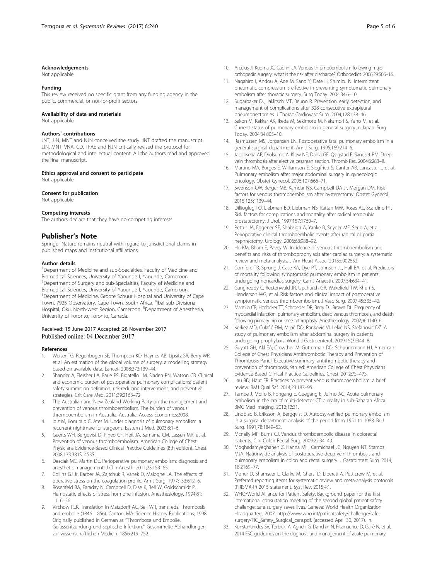#### <span id="page-4-0"></span>Acknowledgements

Not applicable.

#### Funding

This review received no specific grant from any funding agency in the public, commercial, or not-for-profit sectors.

#### Availability of data and materials

Not applicable.

#### Authors' contributions

JNT, JJN, MNT and NJN conceived the study. JNT drafted the manuscript. JJN, MNT, VNA, CD, TFAE and NJN critically revised the protocol for methodological and intellectual content. All the authors read and approved the final manuscript.

#### Ethics approval and consent to participate

Not applicable.

#### Consent for publication

Not applicable.

#### Competing interests

The authors declare that they have no competing interests.

### Publisher's Note

Springer Nature remains neutral with regard to jurisdictional claims in published maps and institutional affiliations.

#### Author details

<sup>1</sup>Department of Medicine and sub-Specialties, Faculty of Medicine and Biomedical Sciences, University of Yaounde I, Yaounde, Cameroon. <sup>2</sup>Department of Surgery and sub-Specialties, Faculty of Medicine and Biomedical Sciences, University of Yaounde I, Yaounde, Cameroon. <sup>3</sup>Department of Medicine, Groote Schuur Hospital and University of Cape Town, 7925 Observatory, Cape Town, South Africa. <sup>4</sup>Ibal sub-Divisional Hospital, Oku, North-west Region, Cameroon. <sup>5</sup>Department of Anesthesia, University of Toronto, Toronto, Canada.

#### Received: 15 June 2017 Accepted: 28 November 2017 Published online: 04 December 2017

#### References

- 1. Weiser TG, Regenbogen SE, Thompson KD, Haynes AB, Lipsitz SR, Berry WR, et al. An estimation of the global volume of surgery: a modelling strategy based on available data. Lancet. 2008;372:139–44.
- 2. Shander A, Fleisher LA, Barie PS, Bigatello LM, Sladen RN, Watson CB. Clinical and economic burden of postoperative pulmonary complications: patient safety summit on definition, risk-reducing interventions, and preventive strategies. Crit Care Med. 2011;39:2163–72.
- 3. The Australian and New Zealand Working Party on the management and prevention of venous thromboembolism. The burden of venous thromboembolism in Australia. Australia: Access Economics;2008.
- 4. Idiz M, Konuralp C, Ates M. Under diagnosis of pulmonary embolism: a recurrent nightmare for surgeons. Eastern J Med. 2003;8:1–6.
- 5. Geerts WH, Bergqvist D, Pineo GF, Heit JA, Samama CM, Lassen MR, et al. Prevention of venous thromboembolism: American College of Chest Physicians Evidence-Based Clinical Practice Guidelines (8th edition). Chest. 2008;133:381S–453S.
- 6. Desciak MC, Martin DE. Perioperative pulmonary embolism: diagnosis and anesthetic management. J Clin Anesth. 2011;23:153–65.
- 7. Collins GJ Jr, Barber JA, Zajtchuk R, Vanek D, Malogne LA. The effects of operative stress on the coagulation profile. Am J Surg. 1977;133:612–6.
- 8. Rosenfeld BA, Faraday N, Campbell D, Dise K, Bell W, Goldschmidt P. Hemostatic effects of stress hormone infusion. Anesthesiology. 1994;81: 1116–26.
- Virchow RLK. Translation in Matzdorff AC, Bell WR, trans, eds. Thrombosis and embolie (1846–1856). Canton, MA: Science History Publications; 1998. Originally published in German as '"Thrombose und Embolie. Gefassentzundung und septische Infektion,"' Gesammelte Abhandlungen zur wissenschaftlichen Medicin. 1856;219–752.
- 10. Arcelus JI, Kudrna JC, Caprini JA. Venous thromboembolism following major orthopedic surgery: what is the risk after discharge? Orthopedics. 2006;29:506–16.
- 11. Nagahiro I, Andou A, Aoe M, Sano Y, Date H, Shimizu N. Intermittent pneumatic compression is effective in preventing symptomatic pulmonary embolism after thoracic surgery. Surg Today. 2004;34:6–10.
- 12. Sugarbaker DJ, Jaklitsch MT, Beuno R. Prevention, early detection, and management of complications after 328 consecutive extrapleural pneumonectomies. J Thorac Cardiovasc Surg. 2004;128:138–46.
- 13. Sakon M, Kakkar AK, Ikeda M, Sekimoto M, Nakamori S, Yano M, et al. Current status of pulmonary embolism in general surgery in Japan. Surg Today. 2004;34:805–10.
- 14. Rasmussen MS, Jorgensen LN. Postoperative fatal pulmonary embolism in a general surgical department. Am J Surg. 1995;169:214–6.
- 15. Jacobsena AF, Drolsumb A, Klow NE, Dahla GF, Qvigstad E, Sandset PM. Deep vein thrombosis after elective cesarean section. Thromb Res. 2004;6:283–8.
- 16. Martino MA, Borges E, Williamson E, Siegfried S, Cantor AB, Lancaster J, et al. Pulmonary embolism after major abdominal surgery in gynecologic oncology. Obstet Gynecol. 2006;107:666–71.
- 17. Swenson CW, Berger MB, Kamdar NS, Campbell DA Jr, Morgan DM. Risk factors for venous thromboembolism after hysterectomy. Obstet Gynecol. 2015;125:1139–44.
- 18. Dillioglugil O, Liebman BD, Liebman NS, Kattan MW, Rosas AL, Scardino PT. Risk factors for complications and mortality after radical retropubic prostatectomy. J Urol. 1997;157:1760–7.
- 19. Pettus JA, Eggener SE, Shabsigh A, Yanke B, Snyder ME, Serio A, et al. Perioperative clinical thromboembolic events after radical or partial nephrectomy. Urology. 2006;68:988–92.
- 20. Ho KM, Bham E, Pavey W. Incidence of venous thromboembolism and benefits and risks of thromboprophylaxis after cardiac surgery: a systematic review and meta-analysis. J Am Heart Assoc. 2015:e002652.
- 21. Comfere TB, Sprung J, Case KA, Dye PT, Johnson JL, Hall BA, et al. Predictors of mortality following symptomatic pulmonary embolism in patients undergoing noncardiac surgery. Can J Anaesth. 2007;54:634–41.
- 22. Gangireddy C, Rectenwald JR, Upchurch GR, Wakefield TW, Khuri S, Henderson WG, et al. Risk factors and clinical impact of postoperative symptomatic venous thromboembolism. J Vasc Surg. 2007;45:335–42.
- 23. Mantilla CB, Horlocker TT, Schroeder DR, Berry DJ, Brown DL. Frequency of myocardial infarction, pulmonary embolism, deep venous thrombosis, and death following primary hip or knee arthroplasty. Anesthesiology. 2002;96:1140–6.
- 24. Kerkez MD, Ćulafić ĐM, Mijač DD, Ranković VI, Lekić NS, Stefanović DŽ. A study of pulmonary embolism after abdominal surgery in patients undergoing prophylaxis. World J Gastroenterol. 2009;15(3):344–8.
- 25. Guyatt GH, Akl EA, Crowther M, Gutterman DD, Schuünemann HJ, American College of Chest Physicians Antithrombotic Therapy and Prevention of Thrombosis Panel. Executive summary: antithrombotic therapy and prevention of thrombosis, 9th ed: American College of Chest Physicians Evidence-Based Clinical Practice Guidelines. Chest. 2012:7S–47S.
- 26. Lau BD, Haut ER. Practices to prevent venous thromboembolism: a brief review. BMJ Qual Saf. 2014;23:187–95.
- 27. Tambe J, Moifo B, Fongang E, Guegang E, Juimo AG. Acute pulmonary embolism in the era of multi-detector CT: a reality in sub-Saharan Africa. BMC Med Imaging. 2012;12:31.
- 28. Lindblad B, Eriksson A, Bergqvist D. Autopsy-verified pulmonary embolism in a surgical department: analysis of the period from 1951 to 1988. Br J Surg. 1991;78:1849–52.
- 29. Mcnally MP, Burns CJ. Venous thromboembolic disease in colorectal patients. Clin Colon Rectal Surg. 2009;22:34–40.
- 30. Moghadamyeghaneh Z, Hanna MH, Carmichael JC, Nguyen NT, Stamos MJA. Nationwide analysis of postoperative deep vein thrombosis and pulmonary embolism in colon and rectal surgery. J Gastrointest Surg. 2014; 18:2169–77.
- 31. Moher D, Shamseer L, Clarke M, Ghersi D, Liberati A, Petticrew M, et al. Preferred reporting items for systematic review and meta-analysis protocols (PRISMA-P) 2015 statement. Syst Rev. 2015;4:1.
- 32. WHO/World Alliance for Patient Safety. Background paper for the first international consultation meeting of the second global patient safety challenge: safe surgery saves lives. Geneva: World Health Organization Headquarters, 2007. [http://www.who.int/patientsafety/challenge/safe.](http://www.who.int/patientsafety/challenge/safe.surgery/FIC_Safety_Surgical_care.pdf) [surgery/FIC\\_Safety\\_Surgical\\_care.pdf](http://www.who.int/patientsafety/challenge/safe.surgery/FIC_Safety_Surgical_care.pdf). (accessed April 30, 2017). In.
- 33. Konstantinides SV, Torbicki A, Agnelli G, Danchin N, Fitzmaurice D, Galiè N, et al. 2014 ESC guidelines on the diagnosis and management of acute pulmonary